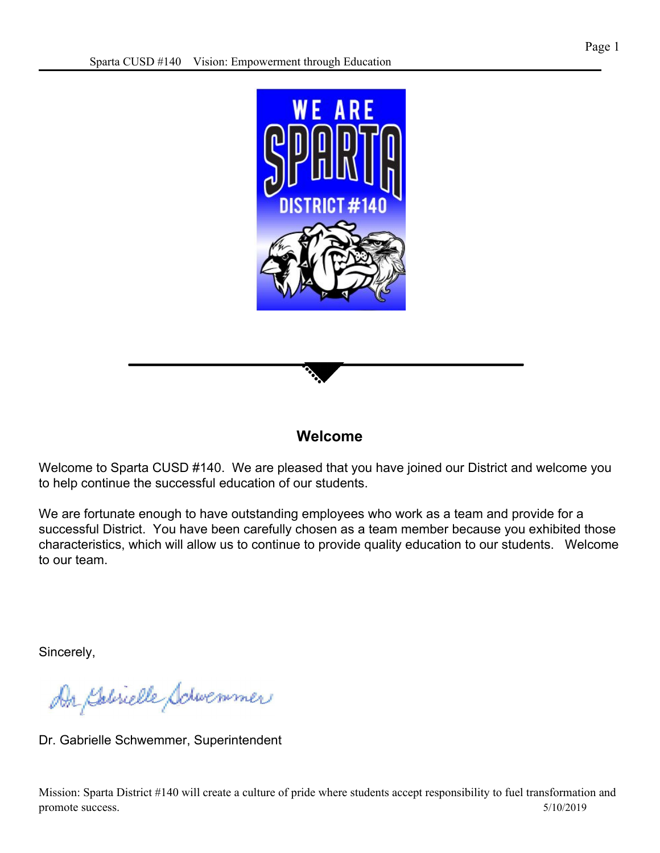

#### **Welcome**

Welcome to Sparta CUSD #140. We are pleased that you have joined our District and welcome you to help continue the successful education of our students.

We are fortunate enough to have outstanding employees who work as a team and provide for a successful District. You have been carefully chosen as a team member because you exhibited those characteristics, which will allow us to continue to provide quality education to our students. Welcome to our team.

Sincerely,

An Salvielle Schwemmer

Dr. Gabrielle Schwemmer, Superintendent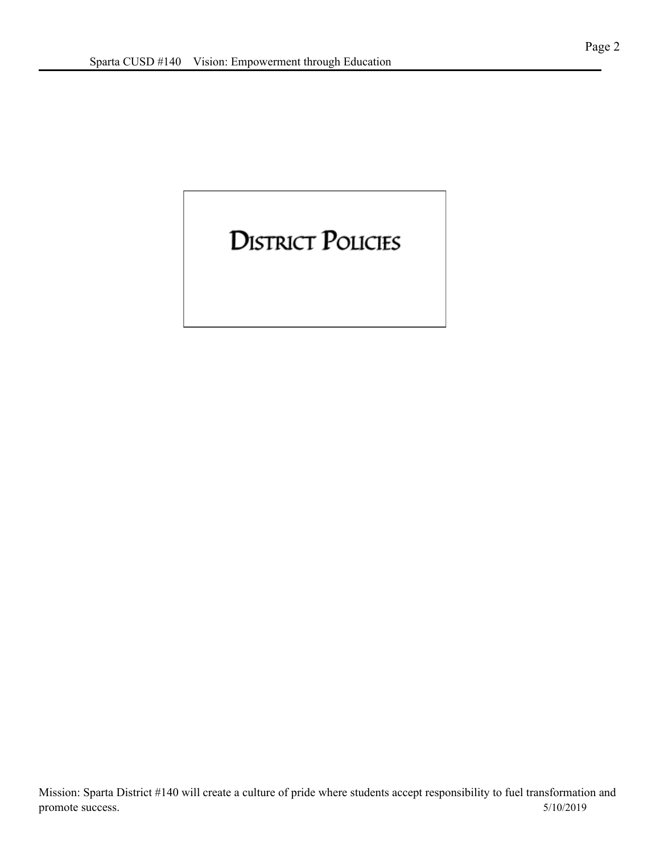### **DISTRICT POLICIES**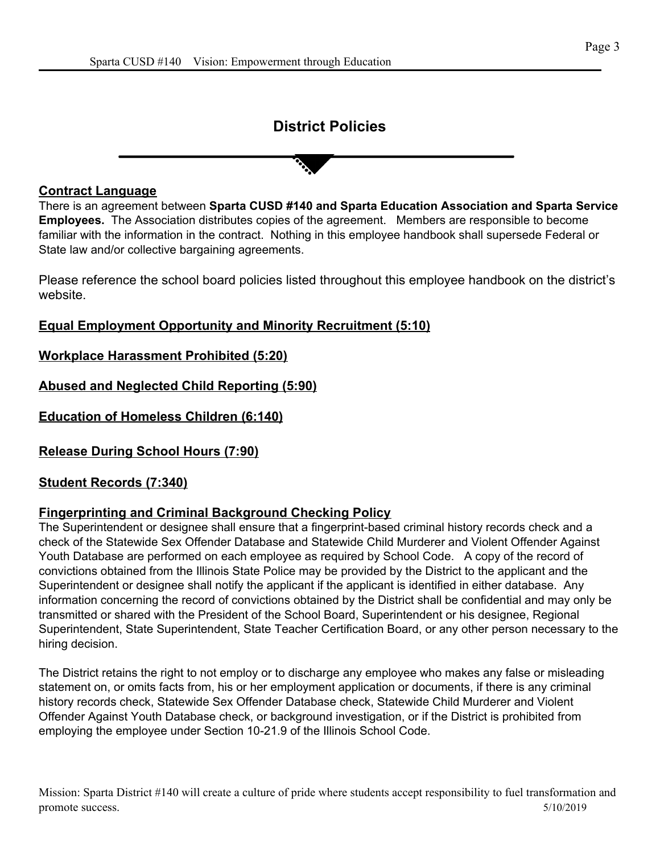#### **District Policies**

#### **Contract Language**

There is an agreement between **Sparta CUSD #140 and Sparta Education Association and Sparta Service Employees.** The Association distributes copies of the agreement. Members are responsible to become familiar with the information in the contract. Nothing in this employee handbook shall supersede Federal or State law and/or collective bargaining agreements.

Please reference the school board policies listed throughout this employee handbook on the district's website.

**Equal Employment Opportunity and Minority Recruitment (5:10)**

**Workplace Harassment Prohibited (5:20)**

**Abused and Neglected Child Reporting (5:90)**

**Education of Homeless Children (6:140)**

**Release During School Hours (7:90)**

**Student Records (7:340)**

#### **Fingerprinting and Criminal Background Checking Policy**

The Superintendent or designee shall ensure that a fingerprint-based criminal history records check and a check of the Statewide Sex Offender Database and Statewide Child Murderer and Violent Offender Against Youth Database are performed on each employee as required by School Code. A copy of the record of convictions obtained from the Illinois State Police may be provided by the District to the applicant and the Superintendent or designee shall notify the applicant if the applicant is identified in either database. Any information concerning the record of convictions obtained by the District shall be confidential and may only be transmitted or shared with the President of the School Board, Superintendent or his designee, Regional Superintendent, State Superintendent, State Teacher Certification Board, or any other person necessary to the hiring decision.

The District retains the right to not employ or to discharge any employee who makes any false or misleading statement on, or omits facts from, his or her employment application or documents, if there is any criminal history records check, Statewide Sex Offender Database check, Statewide Child Murderer and Violent Offender Against Youth Database check, or background investigation, or if the District is prohibited from employing the employee under Section 10-21.9 of the Illinois School Code.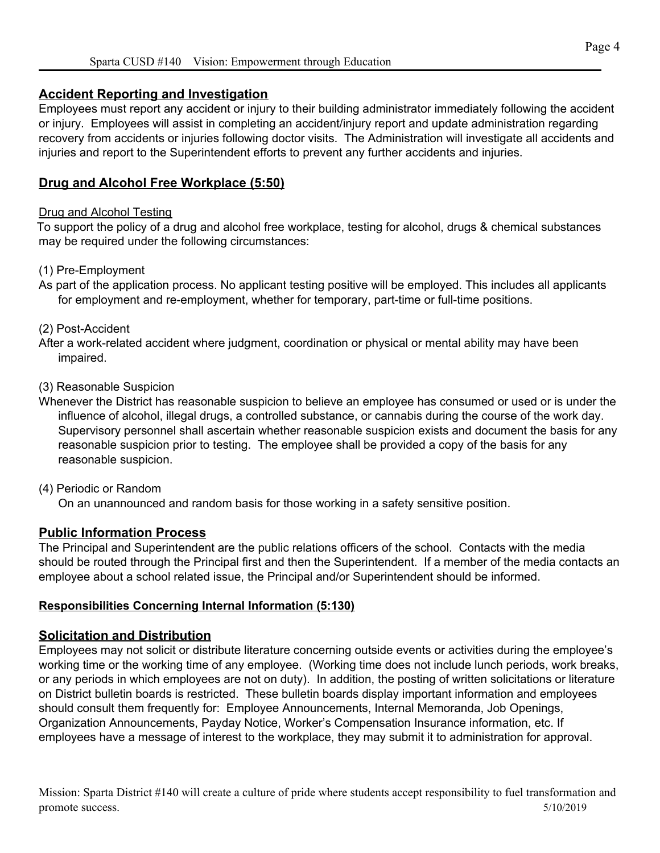#### **Accident Reporting and Investigation**

Employees must report any accident or injury to their building administrator immediately following the accident or injury. Employees will assist in completing an accident/injury report and update administration regarding recovery from accidents or injuries following doctor visits. The Administration will investigate all accidents and injuries and report to the Superintendent efforts to prevent any further accidents and injuries.

#### **Drug and Alcohol Free Workplace (5:50)**

#### Drug and Alcohol Testing

To support the policy of a drug and alcohol free workplace, testing for alcohol, drugs & chemical substances may be required under the following circumstances:

#### (1) Pre-Employment

As part of the application process. No applicant testing positive will be employed. This includes all applicants for employment and re-employment, whether for temporary, part-time or full-time positions.

#### (2) Post-Accident

After a work-related accident where judgment, coordination or physical or mental ability may have been impaired.

#### (3) Reasonable Suspicion

Whenever the District has reasonable suspicion to believe an employee has consumed or used or is under the influence of alcohol, illegal drugs, a controlled substance, or cannabis during the course of the work day. Supervisory personnel shall ascertain whether reasonable suspicion exists and document the basis for any reasonable suspicion prior to testing. The employee shall be provided a copy of the basis for any reasonable suspicion.

#### (4) Periodic or Random

On an unannounced and random basis for those working in a safety sensitive position.

#### **Public Information Process**

The Principal and Superintendent are the public relations officers of the school. Contacts with the media should be routed through the Principal first and then the Superintendent. If a member of the media contacts an employee about a school related issue, the Principal and/or Superintendent should be informed.

#### **Responsibilities Concerning Internal Information (5:130)**

#### **Solicitation and Distribution**

Employees may not solicit or distribute literature concerning outside events or activities during the employee's working time or the working time of any employee. (Working time does not include lunch periods, work breaks, or any periods in which employees are not on duty). In addition, the posting of written solicitations or literature on District bulletin boards is restricted. These bulletin boards display important information and employees should consult them frequently for: Employee Announcements, Internal Memoranda, Job Openings, Organization Announcements, Payday Notice, Worker's Compensation Insurance information, etc. If employees have a message of interest to the workplace, they may submit it to administration for approval.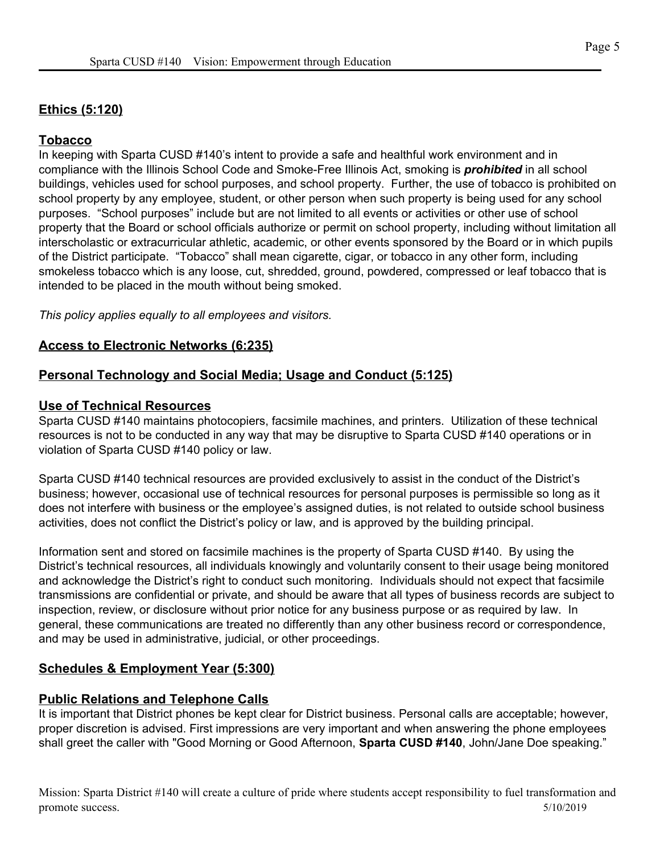#### **Ethics (5:120)**

#### **Tobacco**

In keeping with Sparta CUSD #140's intent to provide a safe and healthful work environment and in compliance with the Illinois School Code and Smoke-Free Illinois Act, smoking is *prohibited* in all school buildings, vehicles used for school purposes, and school property. Further, the use of tobacco is prohibited on school property by any employee, student, or other person when such property is being used for any school purposes. "School purposes" include but are not limited to all events or activities or other use of school property that the Board or school officials authorize or permit on school property, including without limitation all interscholastic or extracurricular athletic, academic, or other events sponsored by the Board or in which pupils of the District participate. "Tobacco" shall mean cigarette, cigar, or tobacco in any other form, including smokeless tobacco which is any loose, cut, shredded, ground, powdered, compressed or leaf tobacco that is intended to be placed in the mouth without being smoked.

*This policy applies equally to all employees and visitors.*

#### **Access to Electronic Networks (6:235)**

#### **Personal Technology and Social Media; Usage and Conduct (5:125)**

#### **Use of Technical Resources**

Sparta CUSD #140 maintains photocopiers, facsimile machines, and printers. Utilization of these technical resources is not to be conducted in any way that may be disruptive to Sparta CUSD #140 operations or in violation of Sparta CUSD #140 policy or law.

Sparta CUSD #140 technical resources are provided exclusively to assist in the conduct of the District's business; however, occasional use of technical resources for personal purposes is permissible so long as it does not interfere with business or the employee's assigned duties, is not related to outside school business activities, does not conflict the District's policy or law, and is approved by the building principal.

Information sent and stored on facsimile machines is the property of Sparta CUSD #140. By using the District's technical resources, all individuals knowingly and voluntarily consent to their usage being monitored and acknowledge the District's right to conduct such monitoring. Individuals should not expect that facsimile transmissions are confidential or private, and should be aware that all types of business records are subject to inspection, review, or disclosure without prior notice for any business purpose or as required by law. In general, these communications are treated no differently than any other business record or correspondence, and may be used in administrative, judicial, or other proceedings.

#### **Schedules & Employment Year (5:300)**

#### **Public Relations and Telephone Calls**

It is important that District phones be kept clear for District business. Personal calls are acceptable; however, proper discretion is advised. First impressions are very important and when answering the phone employees shall greet the caller with "Good Morning or Good Afternoon, **Sparta CUSD #140**, John/Jane Doe speaking."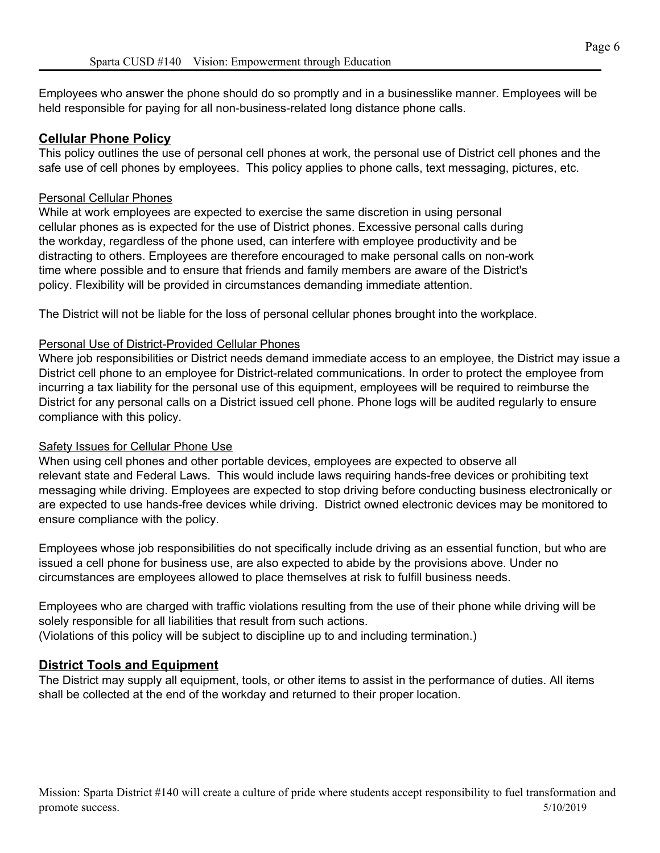Employees who answer the phone should do so promptly and in a businesslike manner. Employees will be held responsible for paying for all non-business-related long distance phone calls.

#### **Cellular Phone Policy**

This policy outlines the use of personal cell phones at work, the personal use of District cell phones and the safe use of cell phones by employees. This policy applies to phone calls, text messaging, pictures, etc.

#### Personal Cellular Phones

While at work employees are expected to exercise the same discretion in using personal cellular phones as is expected for the use of District phones. Excessive personal calls during the workday, regardless of the phone used, can interfere with employee productivity and be distracting to others. Employees are therefore encouraged to make personal calls on non-work time where possible and to ensure that friends and family members are aware of the District's policy. Flexibility will be provided in circumstances demanding immediate attention.

The District will not be liable for the loss of personal cellular phones brought into the workplace.

#### Personal Use of District-Provided Cellular Phones

Where job responsibilities or District needs demand immediate access to an employee, the District may issue a District cell phone to an employee for District-related communications. In order to protect the employee from incurring a tax liability for the personal use of this equipment, employees will be required to reimburse the District for any personal calls on a District issued cell phone. Phone logs will be audited regularly to ensure compliance with this policy.

#### Safety Issues for Cellular Phone Use

When using cell phones and other portable devices, employees are expected to observe all relevant state and Federal Laws. This would include laws requiring hands-free devices or prohibiting text messaging while driving. Employees are expected to stop driving before conducting business electronically or are expected to use hands-free devices while driving. District owned electronic devices may be monitored to ensure compliance with the policy.

Employees whose job responsibilities do not specifically include driving as an essential function, but who are issued a cell phone for business use, are also expected to abide by the provisions above. Under no circumstances are employees allowed to place themselves at risk to fulfill business needs.

Employees who are charged with traffic violations resulting from the use of their phone while driving will be solely responsible for all liabilities that result from such actions. (Violations of this policy will be subject to discipline up to and including termination.)

#### **District Tools and Equipment**

The District may supply all equipment, tools, or other items to assist in the performance of duties. All items shall be collected at the end of the workday and returned to their proper location.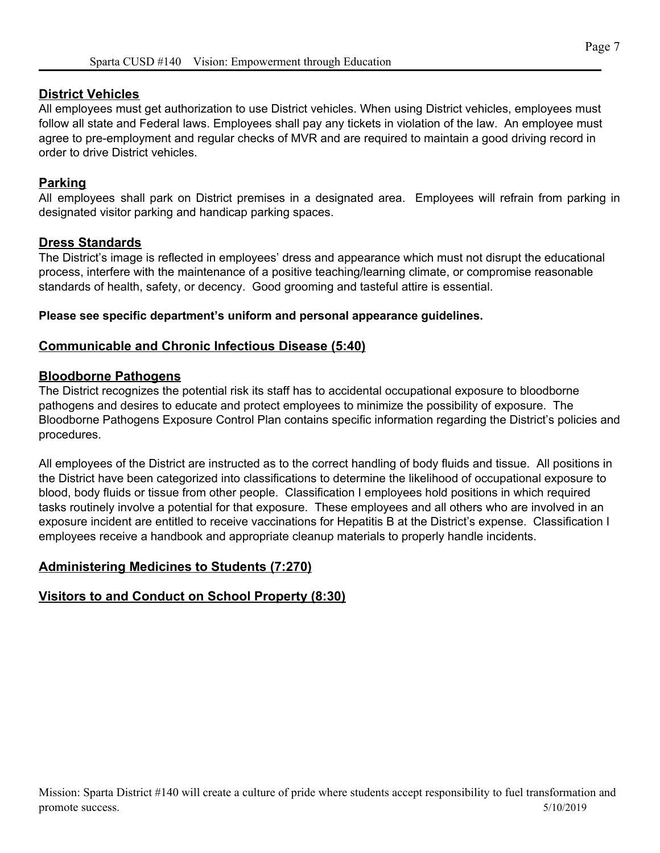#### **District Vehicles**

All employees must get authorization to use District vehicles. When using District vehicles, employees must follow all state and Federal laws. Employees shall pay any tickets in violation of the law. An employee must agree to pre-employment and regular checks of MVR and are required to maintain a good driving record in order to drive District vehicles.

#### **Parking**

All employees shall park on District premises in a designated area. Employees will refrain from parking in designated visitor parking and handicap parking spaces.

#### **Dress Standards**

The District's image is reflected in employees' dress and appearance which must not disrupt the educational process, interfere with the maintenance of a positive teaching/learning climate, or compromise reasonable standards of health, safety, or decency. Good grooming and tasteful attire is essential.

#### **Please see specific department's uniform and personal appearance guidelines.**

#### **Communicable and Chronic Infectious Disease (5:40)**

#### **Bloodborne Pathogens**

The District recognizes the potential risk its staff has to accidental occupational exposure to bloodborne pathogens and desires to educate and protect employees to minimize the possibility of exposure. The Bloodborne Pathogens Exposure Control Plan contains specific information regarding the District's policies and procedures.

All employees of the District are instructed as to the correct handling of body fluids and tissue. All positions in the District have been categorized into classifications to determine the likelihood of occupational exposure to blood, body fluids or tissue from other people. Classification I employees hold positions in which required tasks routinely involve a potential for that exposure. These employees and all others who are involved in an exposure incident are entitled to receive vaccinations for Hepatitis B at the District's expense. Classification I employees receive a handbook and appropriate cleanup materials to properly handle incidents.

#### **Administering Medicines to Students (7:270)**

#### **Visitors to and Conduct on School Property (8:30)**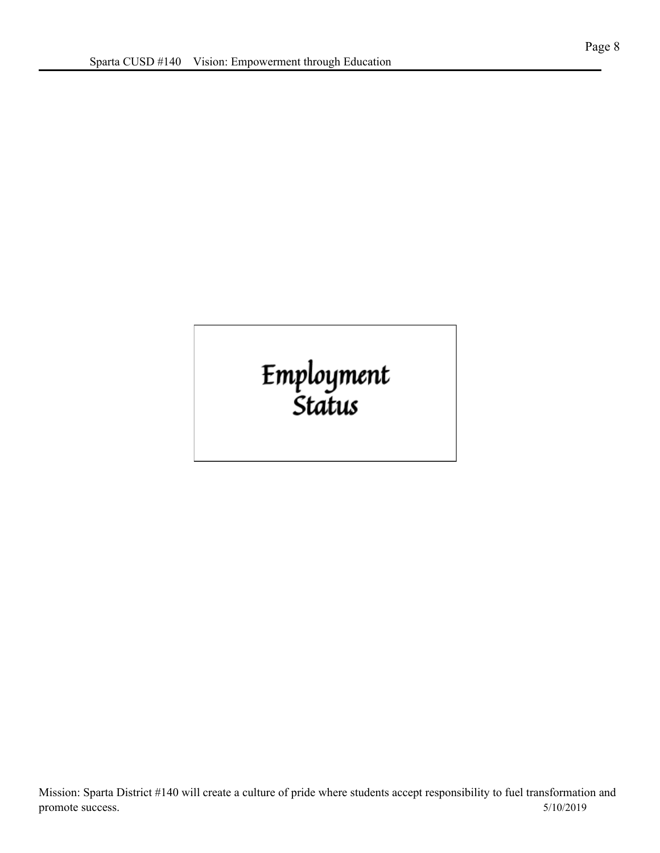# Employment<br>Status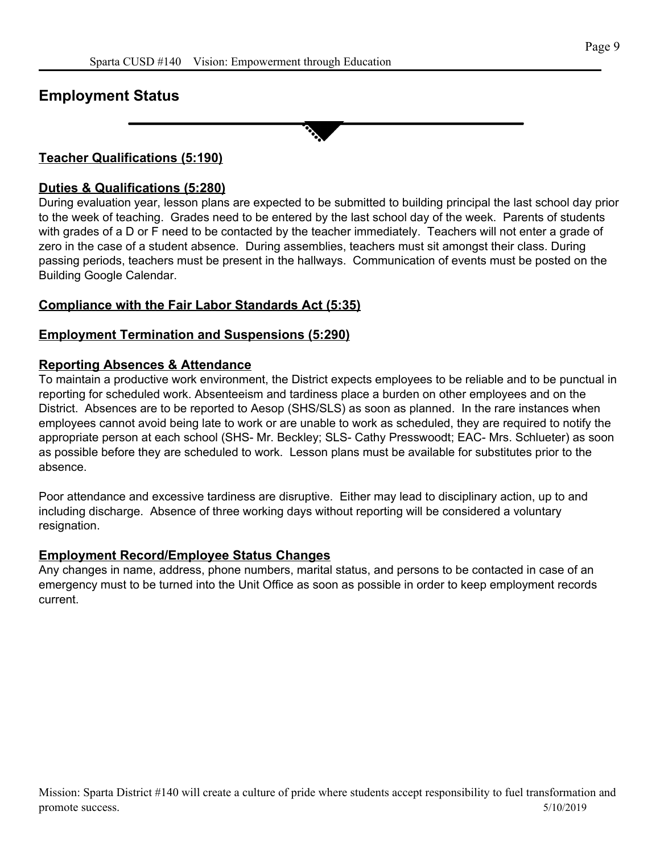#### **Employment Status**

#### **Teacher Qualifications (5:190)**

#### **Duties & Qualifications (5:280)**

During evaluation year, lesson plans are expected to be submitted to building principal the last school day prior to the week of teaching. Grades need to be entered by the last school day of the week. Parents of students with grades of a D or F need to be contacted by the teacher immediately. Teachers will not enter a grade of zero in the case of a student absence. During assemblies, teachers must sit amongst their class. During passing periods, teachers must be present in the hallways. Communication of events must be posted on the Building Google Calendar.

#### **Compliance with the Fair Labor Standards Act (5:35)**

#### **Employment Termination and Suspensions (5:290)**

#### **Reporting Absences & Attendance**

To maintain a productive work environment, the District expects employees to be reliable and to be punctual in reporting for scheduled work. Absenteeism and tardiness place a burden on other employees and on the District. Absences are to be reported to Aesop (SHS/SLS) as soon as planned. In the rare instances when employees cannot avoid being late to work or are unable to work as scheduled, they are required to notify the appropriate person at each school (SHS- Mr. Beckley; SLS- Cathy Presswoodt; EAC- Mrs. Schlueter) as soon as possible before they are scheduled to work. Lesson plans must be available for substitutes prior to the absence.

Poor attendance and excessive tardiness are disruptive. Either may lead to disciplinary action, up to and including discharge. Absence of three working days without reporting will be considered a voluntary resignation.

#### **Employment Record/Employee Status Changes**

Any changes in name, address, phone numbers, marital status, and persons to be contacted in case of an emergency must to be turned into the Unit Office as soon as possible in order to keep employment records current.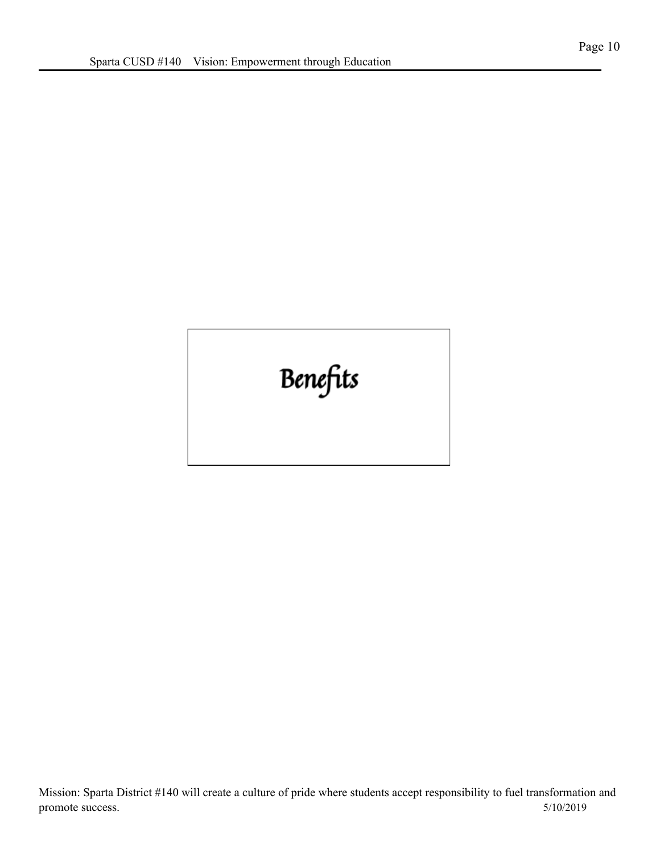## Benefits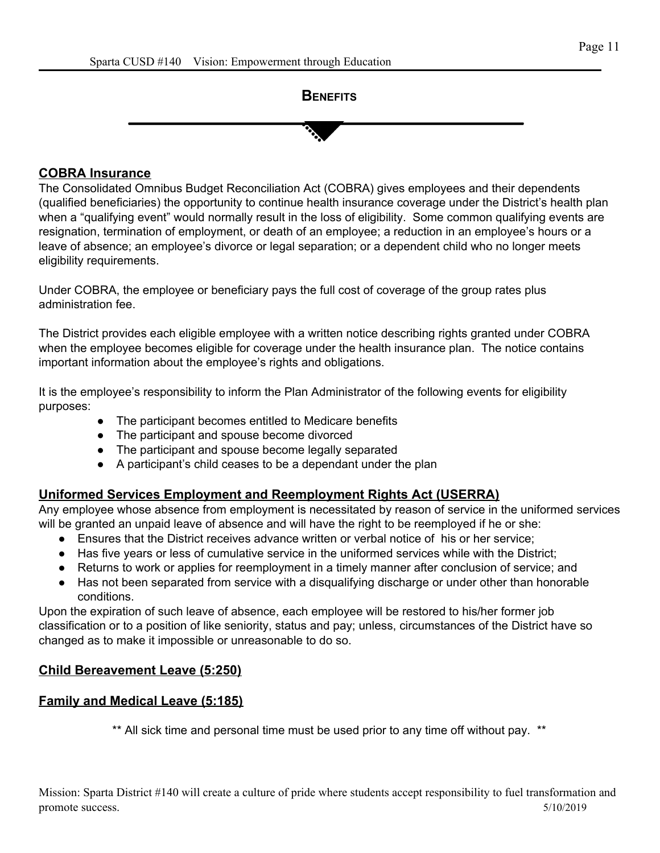



#### **COBRA Insurance**

The Consolidated Omnibus Budget Reconciliation Act (COBRA) gives employees and their dependents (qualified beneficiaries) the opportunity to continue health insurance coverage under the District's health plan when a "qualifying event" would normally result in the loss of eligibility. Some common qualifying events are resignation, termination of employment, or death of an employee; a reduction in an employee's hours or a leave of absence; an employee's divorce or legal separation; or a dependent child who no longer meets eligibility requirements.

Under COBRA, the employee or beneficiary pays the full cost of coverage of the group rates plus administration fee.

The District provides each eligible employee with a written notice describing rights granted under COBRA when the employee becomes eligible for coverage under the health insurance plan. The notice contains important information about the employee's rights and obligations.

It is the employee's responsibility to inform the Plan Administrator of the following events for eligibility purposes:

- The participant becomes entitled to Medicare benefits
- The participant and spouse become divorced
- The participant and spouse become legally separated
- A participant's child ceases to be a dependant under the plan

#### **Uniformed Services Employment and Reemployment Rights Act (USERRA)**

Any employee whose absence from employment is necessitated by reason of service in the uniformed services will be granted an unpaid leave of absence and will have the right to be reemployed if he or she:

- Ensures that the District receives advance written or verbal notice of his or her service;
- Has five years or less of cumulative service in the uniformed services while with the District;
- Returns to work or applies for reemployment in a timely manner after conclusion of service; and
- Has not been separated from service with a disqualifying discharge or under other than honorable conditions.

Upon the expiration of such leave of absence, each employee will be restored to his/her former job classification or to a position of like seniority, status and pay; unless, circumstances of the District have so changed as to make it impossible or unreasonable to do so.

#### **Child Bereavement Leave (5:250)**

#### **Family and Medical Leave (5:185)**

\*\* All sick time and personal time must be used prior to any time off without pay. \*\*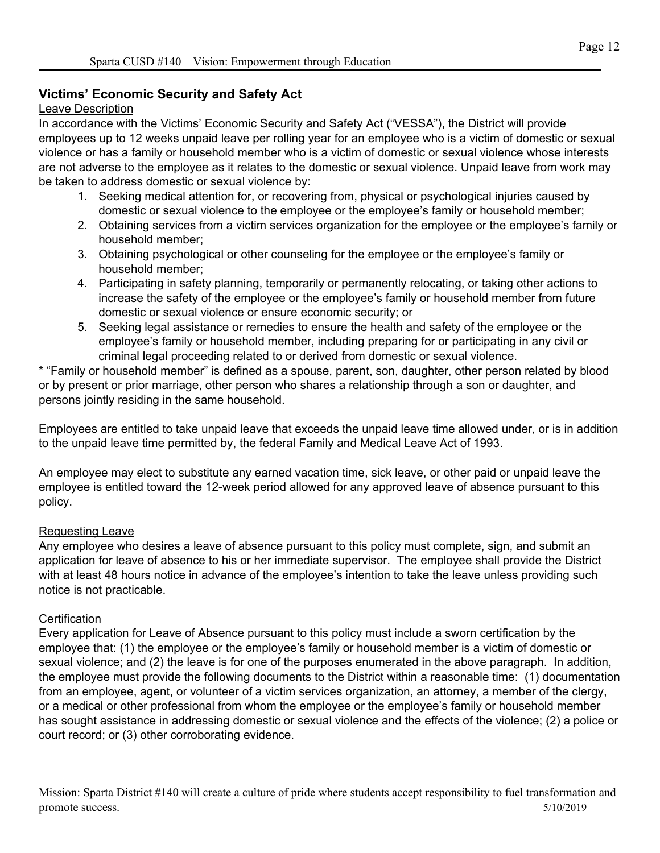#### **Victims' Economic Security and Safety Act**

#### Leave Description

In accordance with the Victims' Economic Security and Safety Act ("VESSA"), the District will provide employees up to 12 weeks unpaid leave per rolling year for an employee who is a victim of domestic or sexual violence or has a family or household member who is a victim of domestic or sexual violence whose interests are not adverse to the employee as it relates to the domestic or sexual violence. Unpaid leave from work may be taken to address domestic or sexual violence by:

- 1. Seeking medical attention for, or recovering from, physical or psychological injuries caused by domestic or sexual violence to the employee or the employee's family or household member;
- 2. Obtaining services from a victim services organization for the employee or the employee's family or household member;
- 3. Obtaining psychological or other counseling for the employee or the employee's family or household member;
- 4. Participating in safety planning, temporarily or permanently relocating, or taking other actions to increase the safety of the employee or the employee's family or household member from future domestic or sexual violence or ensure economic security; or
- 5. Seeking legal assistance or remedies to ensure the health and safety of the employee or the employee's family or household member, including preparing for or participating in any civil or criminal legal proceeding related to or derived from domestic or sexual violence.

\* "Family or household member" is defined as a spouse, parent, son, daughter, other person related by blood or by present or prior marriage, other person who shares a relationship through a son or daughter, and persons jointly residing in the same household.

Employees are entitled to take unpaid leave that exceeds the unpaid leave time allowed under, or is in addition to the unpaid leave time permitted by, the federal Family and Medical Leave Act of 1993.

An employee may elect to substitute any earned vacation time, sick leave, or other paid or unpaid leave the employee is entitled toward the 12-week period allowed for any approved leave of absence pursuant to this policy.

#### Requesting Leave

Any employee who desires a leave of absence pursuant to this policy must complete, sign, and submit an application for leave of absence to his or her immediate supervisor. The employee shall provide the District with at least 48 hours notice in advance of the employee's intention to take the leave unless providing such notice is not practicable.

#### **Certification**

Every application for Leave of Absence pursuant to this policy must include a sworn certification by the employee that: (1) the employee or the employee's family or household member is a victim of domestic or sexual violence; and (2) the leave is for one of the purposes enumerated in the above paragraph. In addition, the employee must provide the following documents to the District within a reasonable time: (1) documentation from an employee, agent, or volunteer of a victim services organization, an attorney, a member of the clergy, or a medical or other professional from whom the employee or the employee's family or household member has sought assistance in addressing domestic or sexual violence and the effects of the violence; (2) a police or court record; or (3) other corroborating evidence.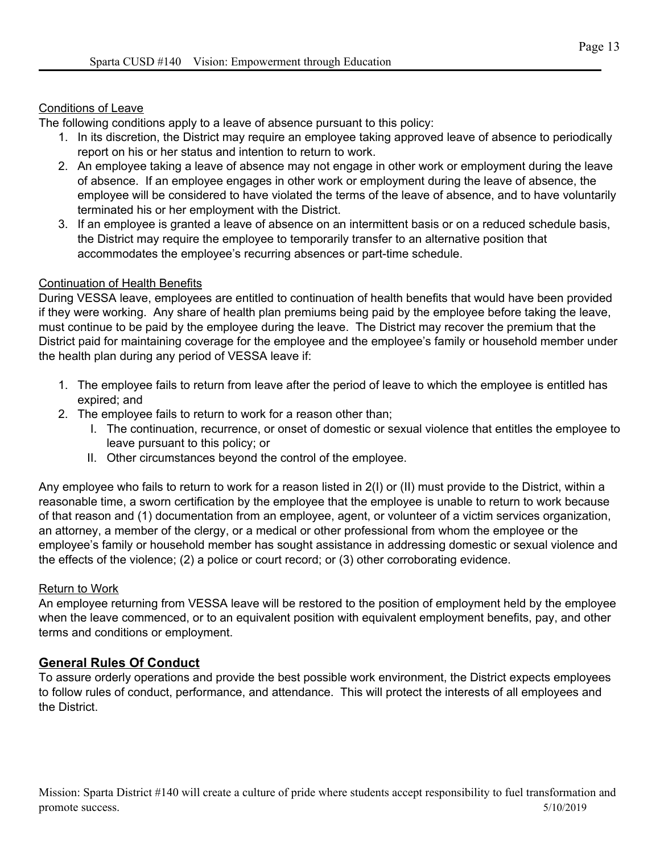#### Conditions of Leave

The following conditions apply to a leave of absence pursuant to this policy:

- 1. In its discretion, the District may require an employee taking approved leave of absence to periodically report on his or her status and intention to return to work.
- 2. An employee taking a leave of absence may not engage in other work or employment during the leave of absence. If an employee engages in other work or employment during the leave of absence, the employee will be considered to have violated the terms of the leave of absence, and to have voluntarily terminated his or her employment with the District.
- 3. If an employee is granted a leave of absence on an intermittent basis or on a reduced schedule basis, the District may require the employee to temporarily transfer to an alternative position that accommodates the employee's recurring absences or part-time schedule.

#### Continuation of Health Benefits

During VESSA leave, employees are entitled to continuation of health benefits that would have been provided if they were working. Any share of health plan premiums being paid by the employee before taking the leave, must continue to be paid by the employee during the leave. The District may recover the premium that the District paid for maintaining coverage for the employee and the employee's family or household member under the health plan during any period of VESSA leave if:

- 1. The employee fails to return from leave after the period of leave to which the employee is entitled has expired; and
- 2. The employee fails to return to work for a reason other than;
	- I. The continuation, recurrence, or onset of domestic or sexual violence that entitles the employee to leave pursuant to this policy; or
	- II. Other circumstances beyond the control of the employee.

Any employee who fails to return to work for a reason listed in 2(I) or (II) must provide to the District, within a reasonable time, a sworn certification by the employee that the employee is unable to return to work because of that reason and (1) documentation from an employee, agent, or volunteer of a victim services organization, an attorney, a member of the clergy, or a medical or other professional from whom the employee or the employee's family or household member has sought assistance in addressing domestic or sexual violence and the effects of the violence; (2) a police or court record; or (3) other corroborating evidence.

#### Return to Work

An employee returning from VESSA leave will be restored to the position of employment held by the employee when the leave commenced, or to an equivalent position with equivalent employment benefits, pay, and other terms and conditions or employment.

#### **General Rules Of Conduct**

To assure orderly operations and provide the best possible work environment, the District expects employees to follow rules of conduct, performance, and attendance. This will protect the interests of all employees and the District.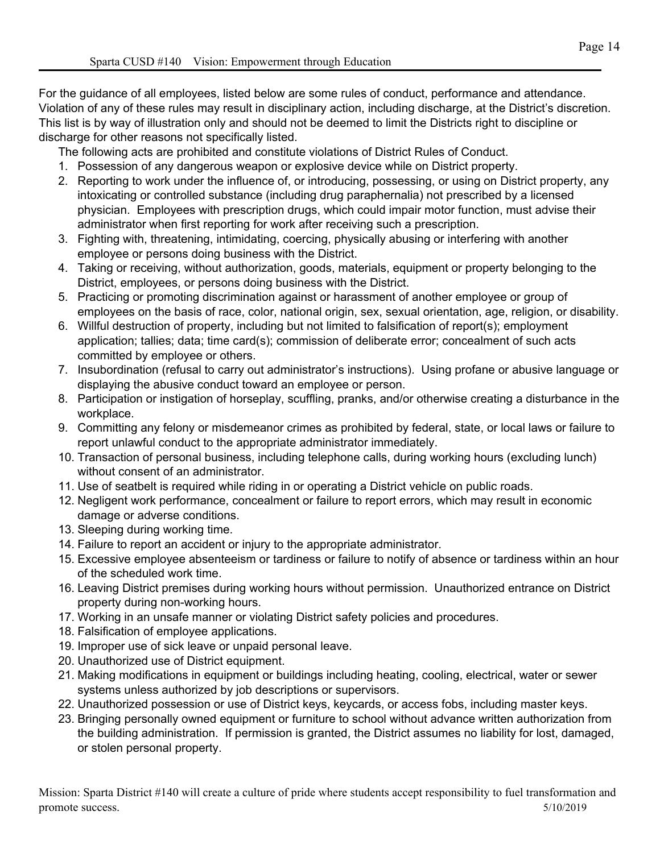For the guidance of all employees, listed below are some rules of conduct, performance and attendance. Violation of any of these rules may result in disciplinary action, including discharge, at the District's discretion. This list is by way of illustration only and should not be deemed to limit the Districts right to discipline or discharge for other reasons not specifically listed.

The following acts are prohibited and constitute violations of District Rules of Conduct.

- 1. Possession of any dangerous weapon or explosive device while on District property.
- 2. Reporting to work under the influence of, or introducing, possessing, or using on District property, any intoxicating or controlled substance (including drug paraphernalia) not prescribed by a licensed physician. Employees with prescription drugs, which could impair motor function, must advise their administrator when first reporting for work after receiving such a prescription.
- 3. Fighting with, threatening, intimidating, coercing, physically abusing or interfering with another employee or persons doing business with the District.
- 4. Taking or receiving, without authorization, goods, materials, equipment or property belonging to the District, employees, or persons doing business with the District.
- 5. Practicing or promoting discrimination against or harassment of another employee or group of employees on the basis of race, color, national origin, sex, sexual orientation, age, religion, or disability.
- 6. Willful destruction of property, including but not limited to falsification of report(s); employment application; tallies; data; time card(s); commission of deliberate error; concealment of such acts committed by employee or others.
- 7. Insubordination (refusal to carry out administrator's instructions). Using profane or abusive language or displaying the abusive conduct toward an employee or person.
- 8. Participation or instigation of horseplay, scuffling, pranks, and/or otherwise creating a disturbance in the workplace.
- 9. Committing any felony or misdemeanor crimes as prohibited by federal, state, or local laws or failure to report unlawful conduct to the appropriate administrator immediately.
- 10. Transaction of personal business, including telephone calls, during working hours (excluding lunch) without consent of an administrator.
- 11. Use of seatbelt is required while riding in or operating a District vehicle on public roads.
- 12. Negligent work performance, concealment or failure to report errors, which may result in economic damage or adverse conditions.
- 13. Sleeping during working time.
- 14. Failure to report an accident or injury to the appropriate administrator.
- 15. Excessive employee absenteeism or tardiness or failure to notify of absence or tardiness within an hour of the scheduled work time.
- 16. Leaving District premises during working hours without permission. Unauthorized entrance on District property during non-working hours.
- 17. Working in an unsafe manner or violating District safety policies and procedures.
- 18. Falsification of employee applications.
- 19. Improper use of sick leave or unpaid personal leave.
- 20. Unauthorized use of District equipment.
- 21. Making modifications in equipment or buildings including heating, cooling, electrical, water or sewer systems unless authorized by job descriptions or supervisors.
- 22. Unauthorized possession or use of District keys, keycards, or access fobs, including master keys.
- 23. Bringing personally owned equipment or furniture to school without advance written authorization from the building administration. If permission is granted, the District assumes no liability for lost, damaged, or stolen personal property.

Mission: Sparta District #140 will create a culture of pride where students accept responsibility to fuel transformation and promote success. 5/10/2019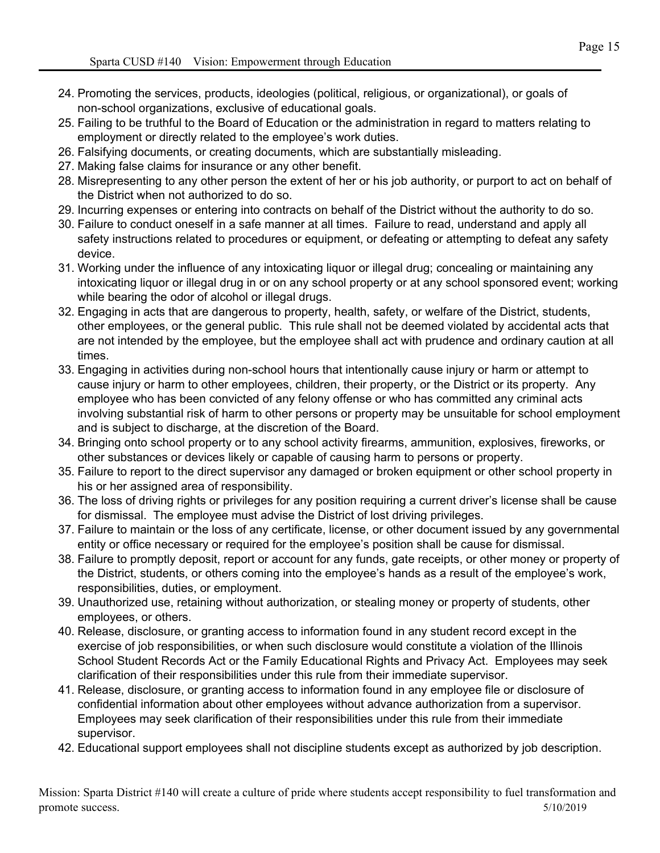- 24. Promoting the services, products, ideologies (political, religious, or organizational), or goals of non-school organizations, exclusive of educational goals.
- 25. Failing to be truthful to the Board of Education or the administration in regard to matters relating to employment or directly related to the employee's work duties.
- 26. Falsifying documents, or creating documents, which are substantially misleading.
- 27. Making false claims for insurance or any other benefit.
- 28. Misrepresenting to any other person the extent of her or his job authority, or purport to act on behalf of the District when not authorized to do so.
- 29. Incurring expenses or entering into contracts on behalf of the District without the authority to do so.
- 30. Failure to conduct oneself in a safe manner at all times. Failure to read, understand and apply all safety instructions related to procedures or equipment, or defeating or attempting to defeat any safety device.
- 31. Working under the influence of any intoxicating liquor or illegal drug; concealing or maintaining any intoxicating liquor or illegal drug in or on any school property or at any school sponsored event; working while bearing the odor of alcohol or illegal drugs.
- 32. Engaging in acts that are dangerous to property, health, safety, or welfare of the District, students, other employees, or the general public. This rule shall not be deemed violated by accidental acts that are not intended by the employee, but the employee shall act with prudence and ordinary caution at all times.
- 33. Engaging in activities during non-school hours that intentionally cause injury or harm or attempt to cause injury or harm to other employees, children, their property, or the District or its property. Any employee who has been convicted of any felony offense or who has committed any criminal acts involving substantial risk of harm to other persons or property may be unsuitable for school employment and is subject to discharge, at the discretion of the Board.
- 34. Bringing onto school property or to any school activity firearms, ammunition, explosives, fireworks, or other substances or devices likely or capable of causing harm to persons or property.
- 35. Failure to report to the direct supervisor any damaged or broken equipment or other school property in his or her assigned area of responsibility.
- 36. The loss of driving rights or privileges for any position requiring a current driver's license shall be cause for dismissal. The employee must advise the District of lost driving privileges.
- 37. Failure to maintain or the loss of any certificate, license, or other document issued by any governmental entity or office necessary or required for the employee's position shall be cause for dismissal.
- 38. Failure to promptly deposit, report or account for any funds, gate receipts, or other money or property of the District, students, or others coming into the employee's hands as a result of the employee's work, responsibilities, duties, or employment.
- 39. Unauthorized use, retaining without authorization, or stealing money or property of students, other employees, or others.
- 40. Release, disclosure, or granting access to information found in any student record except in the exercise of job responsibilities, or when such disclosure would constitute a violation of the Illinois School Student Records Act or the Family Educational Rights and Privacy Act. Employees may seek clarification of their responsibilities under this rule from their immediate supervisor.
- 41. Release, disclosure, or granting access to information found in any employee file or disclosure of confidential information about other employees without advance authorization from a supervisor. Employees may seek clarification of their responsibilities under this rule from their immediate supervisor.
- 42. Educational support employees shall not discipline students except as authorized by job description.

Mission: Sparta District #140 will create a culture of pride where students accept responsibility to fuel transformation and promote success. 5/10/2019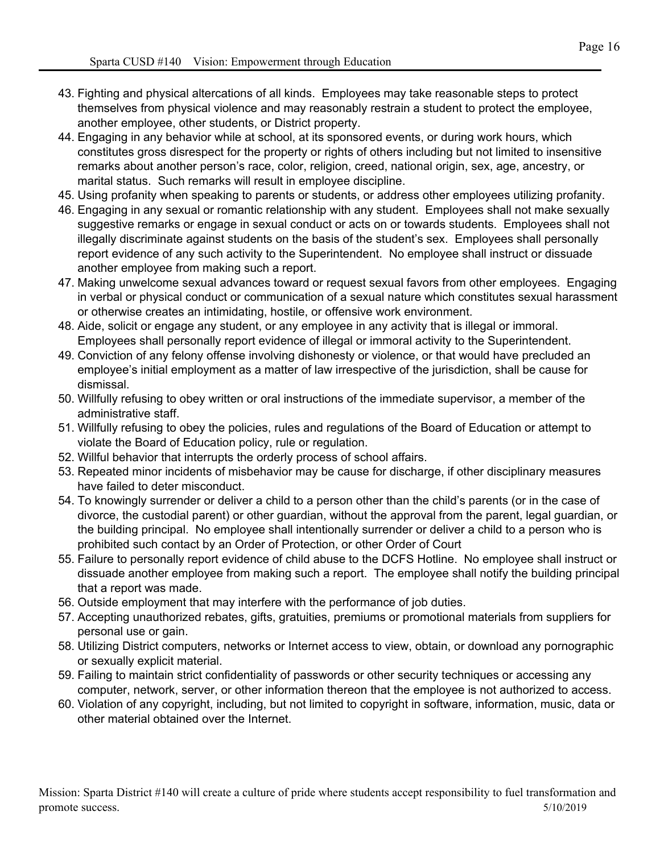- 43. Fighting and physical altercations of all kinds. Employees may take reasonable steps to protect themselves from physical violence and may reasonably restrain a student to protect the employee, another employee, other students, or District property.
- 44. Engaging in any behavior while at school, at its sponsored events, or during work hours, which constitutes gross disrespect for the property or rights of others including but not limited to insensitive remarks about another person's race, color, religion, creed, national origin, sex, age, ancestry, or marital status. Such remarks will result in employee discipline.
- 45. Using profanity when speaking to parents or students, or address other employees utilizing profanity.
- 46. Engaging in any sexual or romantic relationship with any student. Employees shall not make sexually suggestive remarks or engage in sexual conduct or acts on or towards students. Employees shall not illegally discriminate against students on the basis of the student's sex. Employees shall personally report evidence of any such activity to the Superintendent. No employee shall instruct or dissuade another employee from making such a report.
- 47. Making unwelcome sexual advances toward or request sexual favors from other employees. Engaging in verbal or physical conduct or communication of a sexual nature which constitutes sexual harassment or otherwise creates an intimidating, hostile, or offensive work environment.
- 48. Aide, solicit or engage any student, or any employee in any activity that is illegal or immoral. Employees shall personally report evidence of illegal or immoral activity to the Superintendent.
- 49. Conviction of any felony offense involving dishonesty or violence, or that would have precluded an employee's initial employment as a matter of law irrespective of the jurisdiction, shall be cause for dismissal.
- 50. Willfully refusing to obey written or oral instructions of the immediate supervisor, a member of the administrative staff.
- 51. Willfully refusing to obey the policies, rules and regulations of the Board of Education or attempt to violate the Board of Education policy, rule or regulation.
- 52. Willful behavior that interrupts the orderly process of school affairs.
- 53. Repeated minor incidents of misbehavior may be cause for discharge, if other disciplinary measures have failed to deter misconduct.
- 54. To knowingly surrender or deliver a child to a person other than the child's parents (or in the case of divorce, the custodial parent) or other guardian, without the approval from the parent, legal guardian, or the building principal. No employee shall intentionally surrender or deliver a child to a person who is prohibited such contact by an Order of Protection, or other Order of Court
- 55. Failure to personally report evidence of child abuse to the DCFS Hotline. No employee shall instruct or dissuade another employee from making such a report. The employee shall notify the building principal that a report was made.
- 56. Outside employment that may interfere with the performance of job duties.
- 57. Accepting unauthorized rebates, gifts, gratuities, premiums or promotional materials from suppliers for personal use or gain.
- 58. Utilizing District computers, networks or Internet access to view, obtain, or download any pornographic or sexually explicit material.
- 59. Failing to maintain strict confidentiality of passwords or other security techniques or accessing any computer, network, server, or other information thereon that the employee is not authorized to access.
- 60. Violation of any copyright, including, but not limited to copyright in software, information, music, data or other material obtained over the Internet.